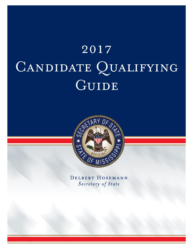# $2017$ CANDIDATE QUALIFYING GUIDE



DELBERT HOSEMANN Secretary of State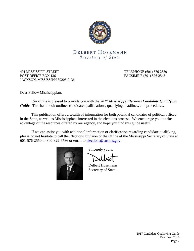

# DELBERT HOSEMANN Secretary of State

401 MISSISSIPPI STREET TELEPHONE (601) 576-2550 POST OFFICE BOX 136 FACSIMILE (601) 576-2545 JACKSON, MISSISSIPPI 39205-0136

Dear Fellow Mississippian:

Our office is pleased to provide you with the *2017 Mississippi Elections Candidate Qualifying Guide*. This handbook outlines candidate qualifications, qualifying deadlines, and procedures.

This publication offers a wealth of information for both potential candidates of political offices in the State, as well as Mississippians interested in the elections process. We encourage you to take advantage of the resources offered by our agency, and hope you find this guide useful.

If we can assist you with additional information or clarification regarding candidate qualifying, please do not hesitate to call the Elections Division of the Office of the Mississippi Secretary of State at 601-576-2550 or 800-829-6786 or email to [elections@sos.ms.gov.](mailto:elections@sos.ms.gov)



Sincerely yours,

Delbert Hosemann Secretary of State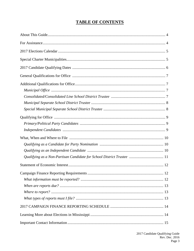# **TABLE OF CONTENTS**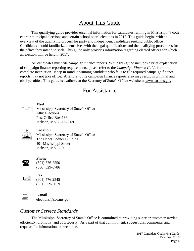# About This Guide

<span id="page-3-0"></span>This qualifying guide provides essential information for candidates running in Mississippi's code charter municipal elections and certain school board elections in 2017. This guide begins with an overview of the qualifying process for party and independent candidates seeking public office. Candidates should familiarize themselves with the legal qualifications and the qualifying procedures for the office they intend to seek. This guide only provides information regarding elected offices for which an election will be held in 2017.

All candidates must file campaign finance reports. While this guide includes a brief explanation of campaign finance reporting requirements, please refer to the *Campaign Finance Guide* for more complete instruction. Keep in mind, a winning candidate who fails to file required campaign finance reports may not take office. A failure to file campaign finance reports also may result in criminal and civil penalties. This guide is available at the Secretary of State's Office website at www.sos.ms.gov.

# For Assistance

<span id="page-3-1"></span>

**Mail** Mississippi Secretary of State's Office Attn: Elections Post Office Box 136 Jackson, MS 39205-0136



#### **Location**

Mississippi Secretary of State's Office The Heber Ladner Building 401 Mississippi Street Jackson, MS 39201



#### **Phone**

(601) 576-2550 (800) 829-6786



**Fax** (601) 576-2545 (601) 359-5019



**E-mail**<br>
elections@sos.ms.gov

# *Customer Service Standards*

The Mississippi Secretary of State's Office is committed to providing superior customer service efficiently, promptly, and courteously. As a part of that commitment, suggestions, comments, and requests for information are welcome.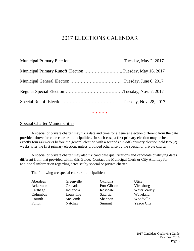# 2017 ELECTIONS CALENDAR

<span id="page-4-0"></span>

| Municipal Primary Runoff Election Tuesday, May 16, 2017 |  |
|---------------------------------------------------------|--|
|                                                         |  |
|                                                         |  |
|                                                         |  |
|                                                         |  |

\* \* \* \* \*

### Special Charter Municipalities

A special or private charter may fix a date and time for a general election different from the date provided above for code charter municipalities. In such case, a first primary election may be held exactly four (4) weeks before the general election with a second (run-off) primary election held two (2) weeks after the first primary election, unless provided otherwise by the special or private charter.

A special or private charter may also fix candidate qualifications and candidate qualifying dates different from that provided within this Guide. Contact the Municipal Clerk or City Attorney for additional information regarding dates set by special or private charter.

The following are special charter municipalities:

| Aberdeen | Greenville | Okolona     | Utica               |
|----------|------------|-------------|---------------------|
| Ackerman | Grenada    | Port Gibson | Vicksburg           |
| Carthage | Indianola  | Rosedale    | <b>Water Valley</b> |
| Columbus | Louisville | Satartia    | Waveland            |
| Corinth  | McComb     | Shannon     | Woodville           |
| Fulton   | Natchez    | Summit      | <b>Yazoo City</b>   |
|          |            |             |                     |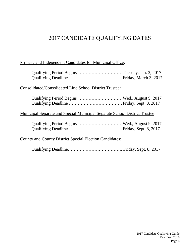# 2017 CANDIDATE QUALIFYING DATES

# Primary and Independent Candidates for Municipal Office:

| Qualifying Period Begins Tuesday, Jan. 3, 2017                             |  |
|----------------------------------------------------------------------------|--|
| Consolidated/Consolidated Line School District Trustee:                    |  |
|                                                                            |  |
| Municipal Separate and Special Municipal Separate School District Trustee: |  |
|                                                                            |  |
| <b>County and County District Special Election Candidates:</b>             |  |
|                                                                            |  |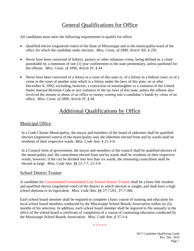# General Qualifications for Office

All candidates must meet the following requirements to qualify for office:

- Qualified elector (registered voter) of the State of Mississippi and in the municipality/ward of the office for which the candidate seeks election. *Miss. Const. of 1890, Article XII, § 250*.
- Never have been convicted of bribery, perjury or other infamous crime, being defined as a crime punishable by a minimum of one (1) year confinement in the state penitentiary, unless pardoned for the offense. *Miss. Const. of 1890, Article IV, § 44*.
- Never have been convicted of a felony in a court of this state or, of a felony in a federal court, or of a crime in the court of another state which is a felony under the laws of this state, on or after December 8, 1992; excluding, however, a conviction of manslaughter or a violation of the United States Internal Revenue Code or any violation of the tax laws of this state, unless the offense also involved the misuse or abuse of an office or money coming into a candidate's hands by virtue of an office. *Miss. Const. of 1890, Article IV, § 44*.

# Additional Qualifications by Office

## Municipal Office:

In a Code Charter Municipality, the mayor and members of the board of aldermen shall be qualified electors (registered voters) of the municipality and, the aldermen elected from and by wards shall be residents of their respective wards. *Miss. Code Ann. § 21-3-9*.

In a Council form of government, the mayor and members of the council shall be qualified electors of the municipality and, the councilmen elected from and by wards shall be residents of their respective wards; however, if the city be divided into less than six wards, the remaining councilmen shall be elected at large. *Miss. Code Ann. §§ 21-7-7, 21-3-9*.

#### School District Trustee:

A candidate for Consolidated/Consolidated Line School District Trustee shall be a bona fide resident and qualified elector (registered voter) of the district in which election is sought, and shall have a high school diploma or its equivalent. *Miss. Code Ann. §§ 37-7-201, 37-7-306*.

Each school board member shall be required to complete a basic course of training and education for local school board members conducted by the Mississippi School Boards Association within six (6) months of his selection. In addition, each school board member shall be required to file annually in the office of the school board a certificate of completion of a course of continuing education conducted by the Mississippi School Boards Association. *Miss. Code Ann. § 37-3-4*.

\* \* \* \* \*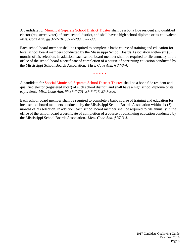A candidate for Municipal Separate School District Trustee shall be a bona fide resident and qualified elector (registered voter) of such school district, and shall have a high school diploma or its equivalent. *Miss. Code Ann. §§ 37-7-201, 37-7-203, 37-7-306*.

Each school board member shall be required to complete a basic course of training and education for local school board members conducted by the Mississippi School Boards Association within six (6) months of his selection. In addition, each school board member shall be required to file annually in the office of the school board a certificate of completion of a course of continuing education conducted by the Mississippi School Boards Association. *Miss. Code Ann. § 37-3-4*.

\* \* \* \* \*

A candidate for Special Municipal Separate School District Trustee shall be a bona fide resident and qualified elector (registered voter) of such school district, and shall have a high school diploma or its equivalent. *Miss. Code Ann. §§ 37-7-201, 37-7-707, 37-7-306*.

Each school board member shall be required to complete a basic course of training and education for local school board members conducted by the Mississippi School Boards Association within six (6) months of his selection. In addition, each school board member shall be required to file annually in the office of the school board a certificate of completion of a course of continuing education conducted by the Mississippi School Boards Association. *Miss. Code Ann. § 37-3-4*.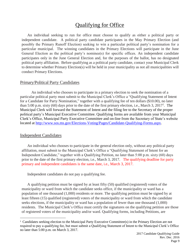# Qualifying for Office

An individual seeking to run for office must choose to qualify as either a political party or independent candidate. A political party candidate participates in the May Primary Election (and possibly the Primary Runoff Election) seeking to win a particular political party's nomination for a particular municipal. The winning candidates in the Primary Elections will participate in the June General Election as the political party's nominee(s) for specific offices. An independent candidate participates only in the June General Election and, for the purposes of the ballot, has no designated political party affiliation. Before qualifying as a political party candidate, contact your Municipal Clerk to determine whether Primary Election(s) will be held in your municipality as not all municipalities will conduct Primary Elections.

#### Primary/Political Party Candidates

An individual who chooses to participate in a primary election to seek the nomination of a particular political party must submit to the Municipal Clerk's Office a "Qualifying Statement of Intent for a Candidate for Party Nomination," together with a qualifying fee of ten dollars (\$10.00), no later than 5:00 p.m. sixty  $(60)$  days prior to the date of the first primary election, i.e., March 3, 2017<sup>1</sup>. The Municipal Clerk will forward the Statement of Intent and the filing fee to the Secretary of the proper political party's Municipal Executive Committee. Qualifying forms are available from your Municipal Clerk's Office, Municipal Party Executive Committee and on-line from the Secretary of State's website located at [http://www.sos.ms.gov/Elections-Voting/Pages/Candidate-Qualifying-Forms.aspx.](https://www.sos.ms.gov/Elections-Voting/Pages/Candidate-Qualifying-Forms.aspx)

#### Independent Candidates

 $\overline{a}$ 

An individual who chooses to participate in the general election only, without any political party affiliation, must submit to the Municipal Clerk's Office a "Qualifying Statement of Intent for an Independent Candidate," together with a Qualifying Petition, no later than 5:00 p.m. sixty (60) days prior to the date of the first primary election, i.e., March 3, 2017. The qualifying deadline for party primary and independent candidates is the same date, i.e., March 3, 2017.

Independent candidates do not pay a qualifying fee.

A qualifying petition must be signed by at least fifty (50) qualified (registered) voters of the municipality or ward from which the candidate seeks office, if the municipality or ward has a population of one thousand (1,000) residents or more. The qualifying petition must be signed by at least fifteen (15) qualified (registered) voters of the municipality or ward from which the candidate seeks elections, if the municipality or ward has a population of fewer than one thousand (1,000) residents. The Municipal Clerk's Office must certify the signatures on the qualifying petition are those of registered voters of the municipality and/or ward. Qualifying forms, including Petitions, are

<sup>&</sup>lt;sup>1</sup> Candidates seeking election to the Municipal Party Executive Committee(s) in the Primary Election are not required to pay a qualifying fee, but must submit a Qualifying Statement of Intent to the Municipal Clerk's Office no later than 5:00 p.m. on March 3, 2017.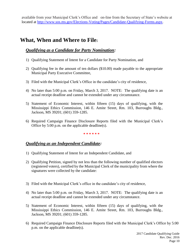available from your Municipal Clerk's Office and on-line from the Secretary of State's website at located at [http://www.sos.ms.gov/Elections-Voting/Pages/Candidate-Qualifying-Forms.aspx.](https://www.sos.ms.gov/Elections-Voting/Pages/Candidate-Qualifying-Forms.aspx)

# **What, When and Where to File:**

# *Qualifying as a Candidate for Party Nomination:*

- 1) Qualifying Statement of Intent for a Candidate for Party Nomination, and
- 2) Qualifying fee in the amount of ten dollars (\$10.00) made payable to the appropriate Municipal Party Executive Committee,
- 3) Filed with the Municipal Clerk's Office in the candidate's city of residence,
- 4) No later than 5:00 p.m. on Friday, March 3, 2017. NOTE: The qualifying date is an actual receipt deadline and cannot be extended under any circumstance.
- 5) Statement of Economic Interest, within fifteen (15) days of qualifying, with the Mississippi Ethics Commission, 146 E. Amite Street, Rm. 103, Burroughs Bldg., Jackson, MS 39201; (601) 359-1285.
- 6) Required Campaign Finance Disclosure Reports filed with the Municipal Clerk's Office by 5:00 p.m. on the applicable deadline(s).

#### **\* \* \* \* \* \***

# *Qualifying as an Independent Candidate:*

- 1) Qualifying Statement of Intent for an Independent Candidate, and
- 2) Qualifying Petition, signed by not less than the following number of qualified electors (registered voters), certified by the Municipal Clerk of the municipality from where the signatures were collected by the candidate:
- 3) Filed with the Municipal Clerk's office in the candidate's city of residence,
- 4) No later than 5:00 p.m. on Friday, March 3, 2017. NOTE: The qualifying date is an actual receipt deadline and cannot be extended under any circumstance.
- 5) Statement of Economic Interest, within fifteen (15) days of qualifying, with the Mississippi Ethics Commission, 146 E. Amite Street, Rm. 103, Burroughs Bldg., Jackson, MS 39201; (601) 359-1285.
- 6) Required Campaign Finance Disclosure Reports filed with the Municipal Clerk's Office by 5:00 p.m. on the applicable deadline(s).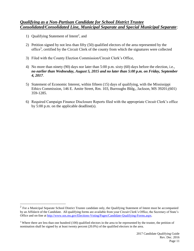#### *Qualifying as a Non-Partisan Candidate for School District Trustee Consolidated/Consolidated Line, Municipal Separate and Special Municipal Separate*:

1) Qualifying Statement of Intent<sup>2</sup>, and

 $\overline{a}$ 

- 2) Petition signed by not less than fifty (50) qualified electors of the area represented by the office<sup>3</sup>, certified by the Circuit Clerk of the county from which the signatures were collected
- 3) Filed with the County Election Commission/Circuit Clerk's Office,
- 4) No more than ninety (90) days nor later than 5:00 p.m. sixty (60) days before the election, i.e., *no earlier than Wednesday, August 5, 2015 and no later than 5:00 p.m. on Friday, September 4, 2017*.
- 5) Statement of Economic Interest, within fifteen (15) days of qualifying, with the Mississippi Ethics Commission, 146 E. Amite Street, Rm. 103, Burroughs Bldg., Jackson, MS 39201;(601) 359-1285.
- 6) Required Campaign Finance Disclosure Reports filed with the appropriate Circuit Clerk's office by 5:00 p.m. on the applicable deadline(s).

 $2$  For a Municipal Separate School District Trustee candidate only, the Qualifying Statement of Intent must be accompanied by an Affidavit of the Candidate. All qualifying forms are available from your Circuit Clerk's Office, the Secretary of State's Office and on-line at [http://www.sos.ms.gov/Elections-Voting/Pages/Candidate-Qualifying-Forms.aspx.](https://www.sos.ms.gov/Elections-Voting/Pages/Candidate-Qualifying-Forms.aspx) 

<sup>&</sup>lt;sup>3</sup> Where there are less than one hundred (100) qualified electors in the area to be represented by the trustee, the petition of nomination shall be signed by at least twenty percent (20.0%) of the qualified electors in the area.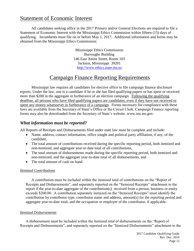# Statement of Economic Interest

All candidates seeking office in the 2017 Primary and/or General Elections are required to file a Statement of Economic Interest with the Mississippi Ethics Commission within fifteen (15) days of qualifying. Incumbents must file on or before May 1, 2017. Additional information and forms may be obtained from the Mississippi Ethics Commission:

> Mississippi Ethics Commission Burroughs Building 146 East Amite Street, Room 103 Jackson, Mississippi 39201 [http://www.ethics.state.ms.us](https://www.ethics.state.ms.us/)

# Campaign Finance Reporting Requirements

Mississippi law requires all candidates for elective office to file campaign finance disclosure reports. Under the law, one is a candidate if he or she has filed qualifying papers or has spent or received more than \$200 in the aggregate in furtherance of an election campaign. Following the qualifying deadline, all persons who have filed qualifying papers are candidates, even if they have not received or spent any money whatsoever in furtherance of a campaign. Forms necessary for compliance with these laws are available from the Secretary of State's Office or the Circuit Clerk. Campaign Finance reporting forms may also be downloaded from the Secretary of State's website: www.sos.ms.gov.

# *What information must be reported?*

All Reports of Receipts and Disbursements filed under state law must be complete and include:

- Name, address, contact information, office sought and political party affiliation, if any, of the candidate,
- The total amount of contributions received during the specific reporting period, both itemized and non-itemized, and aggregate year-to date total of all contributions,
- The total amount of disbursements made during the specific reporting period, both itemized and non-itemized, and the aggregate year-to-date total of all disbursements, and
- The total amount of cash on hand.

#### *Itemized Contributions*

A contribution must be included within the itemized total of contributions on the "Report of Receipts and Disbursements", and separately reported on the "Itemized Receipts" attachment to the report if the year-to-date aggregate of the contribution(s) received from a person, business or entity exceeds \$200.00. A contribution separately itemized on the "Itemized Receipts" must identify the contribution by contributor type, contributor name and address, amount(s) for the reporting period and aggregate year-to-date total, and the occupation or employer of the contributor, if applicable.

#### *Itemized Disbursements*

A disbursement must be included within the itemized total of disbursements on the "Report of Receipts and Disbursements", and separately reported on the "Itemized Disbursements" attachment to the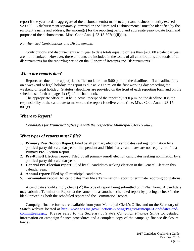report if the year-to-date aggregate of the disbursement(s) made to a person, business or entity exceeds \$200.00. A disbursement separately itemized on the "Itemized Disbursements" must be identified by the recipient's name and address, the amount(s) for the reporting period and aggregate year-to-date total, and purpose of the disbursement. Miss. Code Ann. § 23-15-807(d)(ii)(iii).

#### *Non-Itemized Contributions and Disbursements*

Contributions and disbursements with year to date totals equal to or less than \$200.00 a calendar year are not itemized. However, these amounts are included in the totals of all contributions and totals of all disbursements for the reporting period on the "Report of Receipts and Disbursements."

### *When are reports due?*

Reports are due in the appropriate office no later than 5:00 p.m. on the deadline. If a deadline falls on a weekend or legal holiday, the report is due at 5:00 p.m. on the first working day preceding the weekend or legal holiday. Statutory deadlines are provided on the front of each reporting form and on the schedule set forth on page six (6) of this handbook.

The appropriate office must be in actual receipt of the report by 5:00 p.m. on the deadline. It is the responsibility of the candidate to make sure the report is delivered on time. Miss. Code Ann. § 23-15- 807(e).

### *Where to Report?*

*Candidates for Municipal Office file with the respective Municipal Clerk's office.* 

# *What types of reports must I file?*

- 1. **Primary Pre-Election Report**: Filed by all primary election candidates seeking nomination by a political party this calendar year. Independent and Third-Party candidates are not required to file a Primary Pre-Election Report.
- 2. **Pre-Runoff Election report**: Filed by all primary runoff election candidates seeking nomination by a political party this calendar year.
- 3. **General Pre-Election report**: Filed by all candidates seeking election in the General Election this calendar year.
- 4. **Annual report**: Filed by all municipal candidates.
- 5. **Termination report**: All candidates may file a Termination Report to terminate reporting obligations.

A candidate should simply check  $(\checkmark)$  the type of report being submitted on his/her form. A candidate may submit a Termination Report at the same time as another scheduled report by placing a check in the blank preceding both the scheduled report and the Termination Report.

Campaign finance forms are available from your Municipal Clerk's Office and on the Secretary of State's website located at [http://www.sos.ms.gov/Elections-Voting/Pages/Municipal-Candidates-and](https://www.sos.ms.gov/Elections-Voting/Pages/Municipal-Candidates-and-committees.aspx)[committees.aspx.](https://www.sos.ms.gov/Elections-Voting/Pages/Municipal-Candidates-and-committees.aspx) Please refer to the Secretary of State's *Campaign Finance Guide* for detailed information on campaign finance procedures and a complete copy of the campaign finance disclosure  $law(s)$ .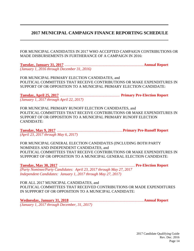# <span id="page-13-0"></span>**2017 MUNICIPAL CAMPAIGN FINANCE REPORTING SCHEDULE**

FOR MUNICIPAL CANDIDATES IN 2017 WHO ACCEPTED CAMPAIGN CONTRIBUTIONS OR MADE DISBURSEMENTS IN FURTHERANCE OF A CAMPAIGN IN 2016:

**Tuesday, January 31, 2017** ...................................................................................**Annual Report** *(January 1, 2016 through December 31, 2016)*

FOR MUNICIPAL PRIMARY ELECTION CANDIDATES, and POLITICAL COMMITTEES THAT RECEIVE CONTRIBUTIONS OR MAKE EXPENDITURES IN SUPPORT OF OR OPPOSITION TO A MUNICIPAL PRIMARY ELECTION CANDIDATE:

**Tuesday, April 25, 2017** ............................................................... **Primary Pre-Election Report** *(January 1, 2017 through April 22, 2017)* 

FOR MUNICIPAL PRIMARY RUNOFF ELECTION CANDIDATES, and POLITICAL COMMITTEES THAT RECEIVE CONTRIBUTIONS OR MAKE EXPENDITURES IN SUPPORT OF OR OPPOSITION TO A MUNICIPAL PRIMARY RUNOFF ELECTION CANDIDATE:

**Tuesday, May 9, 2017** .....................................................................**Primary Pre-Runoff Report** *(April 23, 2017 through May 6, 2017)*

FOR MUNICIPAL GENERAL ELECTION CANDIDATES (INCLUDING BOTH PARTY NOMINEES AND INDEPENDENT CANDIDATES, and POLITICAL COMMITTEES THAT RECEIVE CONTRIBUTIONS OR MAKE EXPENDITURES IN SUPPPORT OF OR OPPOSITION TO A MUNICIPAL GENERAL ELECTION CANDIDATE:

**Tuesday, May 30, 2017** ................................................................................ **Pre-Election Report** *(Party Nominee/Party Candidates: April 23, 2017 through May 27, 2017 Independent Candidates: January 1, 2017 through May 27, 2017)*

FOR ALL 2017 MUNICIPAL CANDIDATES, and POLITICAL COMMITTEES THAT RECEIVED CONTRIBUTIONS OR MADE EXPENDITURES IN SUPPPORT OF OR OPPOSITION TO A MUNICIPAL CANDIDATE:

**Wednesday, January 31, 2018** ..............................................................................**Annual Report** *(January 1, 2017 through December, 31, 2017)*